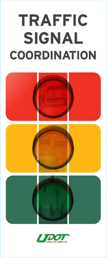# **TRAFFIC TRAFFIC SIGNAL COORDINATION SIGNALCOORDINATION**



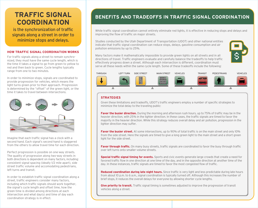## **TRAFFIC SIGNAL COORDINATION**

is the synchronization of traffic signals along a street in order to minimize stops and delays.

## **HOW TRAFFIC SIGNAL COORDINATION WORKS**

For traffic signals along a street to remain synchronized, they must have the same cycle length, which is the time it takes a signal to go from green to yellow to red and then back to green. Cycle lengths typically range from one to two minutes.

In order to minimize stops, signals are coordinated to provide progression for vehicles, which means the light turns green prior to their approach. Progression is determined by the "offset" of the green light, or the time it takes to travel between intersections.



Imagine that each traffic signal has a clock with a second hand. Each signal's second hand is staggered from the others to allow travel time for each direction.

Perfect progression is possible on one-way streets. The quality of progression along two-way streets in both directions is dependent on many factors, including: consistent signal spacing (ideally 1/2 mile apart), side street traffic volume and accomodating pedestrians, left turns and transit.

In order to establish traffic signal coordination along a street, traffic engineers consider many factors, including which traffic signals should work together, the signal's cycle length and offset time, how the green time is divided among directions at each intersection and what day(s) and time of day each coordination strategy is in effect.

## **BENEFITS AND TRADEOFFS IN TRAFFIC SIGNAL COORDINATION**

While traffic signal coordination cannot entirely eliminate red lights, it is effective in reducing stops and delays and improving the flow of traffic on major streets.

Studies conducted by the Utah Department of Transportation (UDOT) and other national entities indicate that traffic signal coordination can reduce stops, delays, gasoline consumption and air pollution emissions by up to 25%.



Many factors make it mathematically impossible to provide green lights on all streets and in all directions of travel. Traffic engineers evaluate and carefully balance the tradeoffs to help traffic effectively progress down a street. Although each intersection is different, coordination must serve all these needs within the same cycle length. Some of these tradeoffs include the following:



## **STRATEGIES**

Given these limitations and tradeoffs, UDOT's traffic engineers employ a number of specific strategies to minimize the total delay to the traveling public:

**Favor the busier direction.** During the morning and afternoon rush hours, up to 75% of traffic may be in the heavier direction, with 25% in the lighter direction. In these cases, the traffic signals are timed to favor the majority in the heavier direction. While this strategy reduces overall delay and air pollution, progression in the lighter direction may suffer.

**Favor the busier street.** At some intersections, up to 90% of total traffic is on the main street and only 10% from the side street. Here the signals are timed to give a long green light to the main street and a short green light for the side street.

**Favor through traffic.** On many busy streets, traffic signals are coordinated to favor the busy through traffic over left turns onto smaller volume streets.

**Special traffic signal timing for events.** Sports and civic events generate large crowds that create a need for favored traffic flow in one direction at one time of the day, and in the opposite direction at another time of the day. In these instances, traffic signals are timed to favor the most congested flow of traffic.

**Reduced coordination during late night hours.** Since traffic is very light and less predictable during late hours from about 10 p.m. to 6 a.m., signal coordination is typically turned off. Although this increases the number of brief stops, it reduces the overall delays for everyone by allowing shorter cycle lengths.

**Give priority to transit.** Traffic signal timing is sometimes adjusted to improve the progression of transit vehicles along a street.